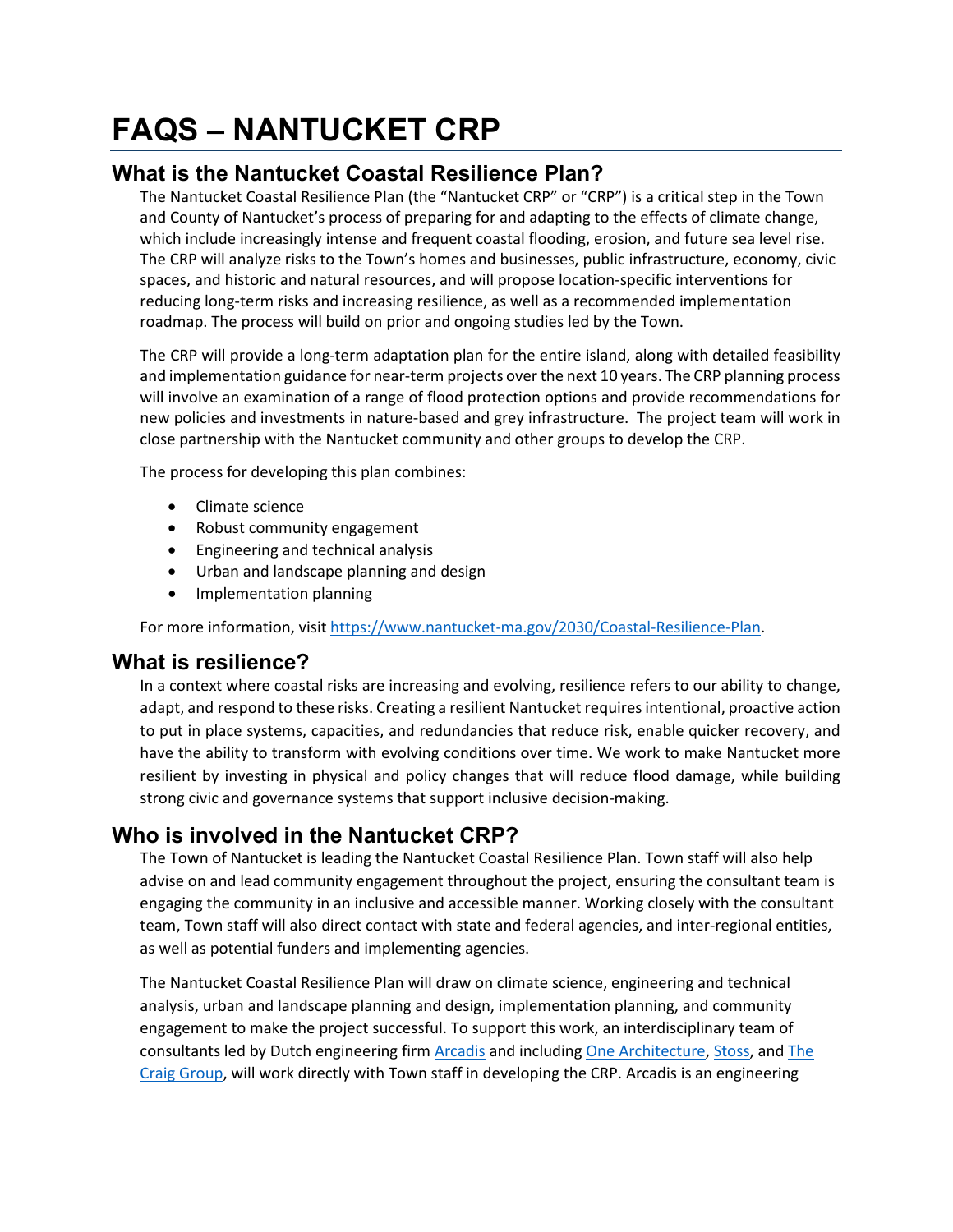# **FAQS – NANTUCKET CRP**

## **What is the Nantucket Coastal Resilience Plan?**

The Nantucket Coastal Resilience Plan (the "Nantucket CRP" or "CRP") is a critical step in the Town and County of Nantucket's process of preparing for and adapting to the effects of climate change, which include increasingly intense and frequent coastal flooding, erosion, and future sea level rise. The CRP will analyze risks to the Town's homes and businesses, public infrastructure, economy, civic spaces, and historic and natural resources, and will propose location-specific interventions for reducing long-term risks and increasing resilience, as well as a recommended implementation roadmap. The process will build on prior and ongoing studies led by the Town.

The CRP will provide a long-term adaptation plan for the entire island, along with detailed feasibility and implementation guidance for near-term projects over the next 10 years. The CRP planning process will involve an examination of a range of flood protection options and provide recommendations for new policies and investments in nature-based and grey infrastructure. The project team will work in close partnership with the Nantucket community and other groups to develop the CRP.

The process for developing this plan combines:

- Climate science
- Robust community engagement
- Engineering and technical analysis
- Urban and landscape planning and design
- Implementation planning

For more information, visi[t https://www.nantucket-ma.gov/2030/Coastal-Resilience-Plan.](https://www.nantucket-ma.gov/2030/Coastal-Resilience-Plan)

## **What is resilience?**

In a context where coastal risks are increasing and evolving, resilience refers to our ability to change, adapt, and respond to these risks. Creating a resilient Nantucket requires intentional, proactive action to put in place systems, capacities, and redundancies that reduce risk, enable quicker recovery, and have the ability to transform with evolving conditions over time. We work to make Nantucket more resilient by investing in physical and policy changes that will reduce flood damage, while building strong civic and governance systems that support inclusive decision-making.

## **Who is involved in the Nantucket CRP?**

The Town of Nantucket is leading the Nantucket Coastal Resilience Plan. Town staff will also help advise on and lead community engagement throughout the project, ensuring the consultant team is engaging the community in an inclusive and accessible manner. Working closely with the consultant team, Town staff will also direct contact with state and federal agencies, and inter-regional entities, as well as potential funders and implementing agencies.

The Nantucket Coastal Resilience Plan will draw on climate science, engineering and technical analysis, urban and landscape planning and design, implementation planning, and community engagement to make the project successful. To support this work, an interdisciplinary team of consultants led by Dutch engineering firm **Arcadis** and including **One Architecture**, [Stoss,](https://www.stoss.net/) and **The** [Craig Group,](https://www.thecraiggrouppartners.com/) will work directly with Town staff in developing the CRP. Arcadis is an engineering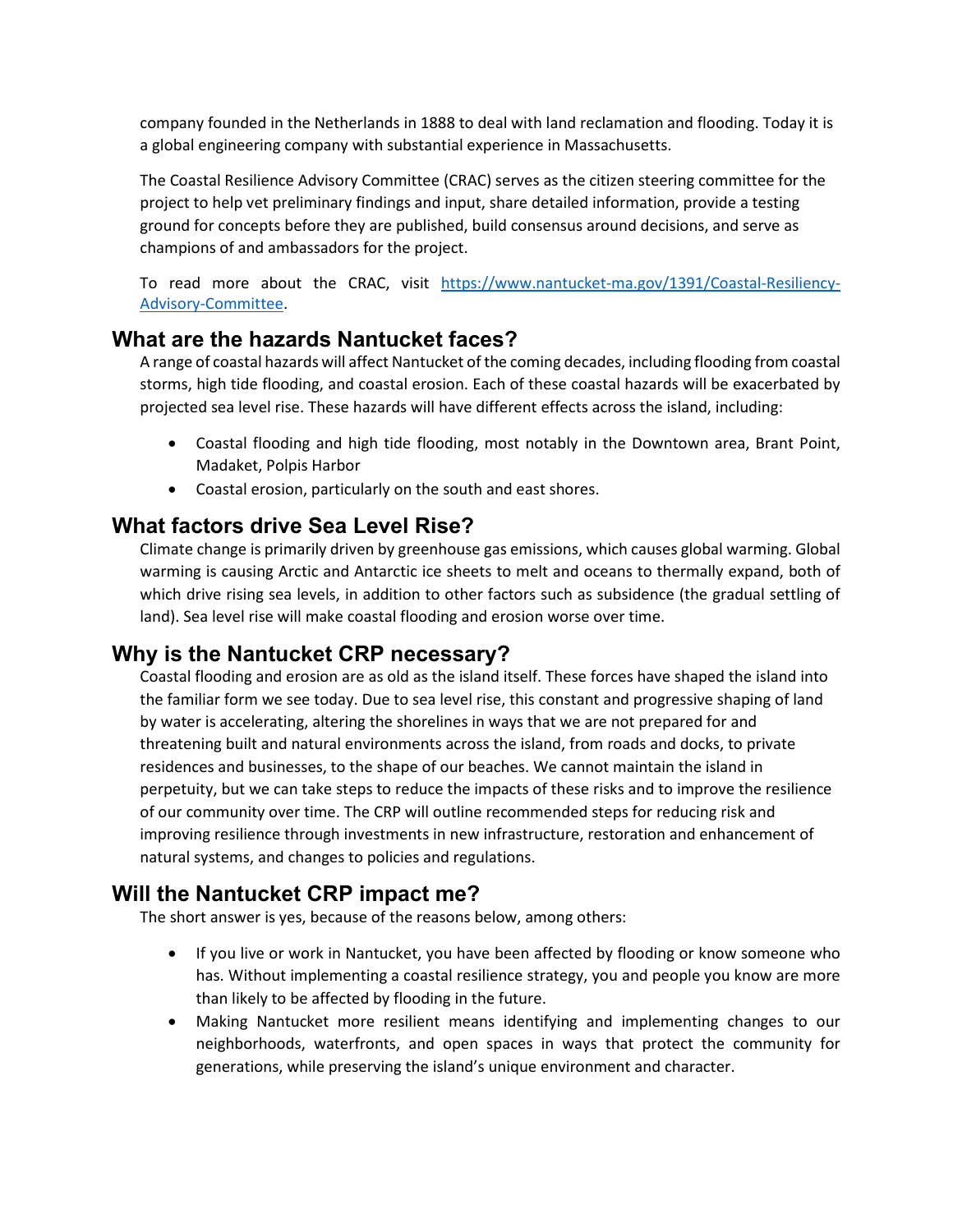company founded in the Netherlands in 1888 to deal with land reclamation and flooding. Today it is a global engineering company with substantial experience in Massachusetts.

The Coastal Resilience Advisory Committee (CRAC) serves as the citizen steering committee for the project to help vet preliminary findings and input, share detailed information, provide a testing ground for concepts before they are published, build consensus around decisions, and serve as champions of and ambassadors for the project.

To read more about the CRAC, visit [https://www.nantucket-ma.gov/1391/Coastal-Resiliency-](https://www.nantucket-ma.gov/1391/Coastal-Resiliency-Advisory-Committee)[Advisory-Committee.](https://www.nantucket-ma.gov/1391/Coastal-Resiliency-Advisory-Committee)

#### **What are the hazards Nantucket faces?**

A range of coastal hazards will affect Nantucket of the coming decades, including flooding from coastal storms, high tide flooding, and coastal erosion. Each of these coastal hazards will be exacerbated by projected sea level rise. These hazards will have different effects across the island, including:

- Coastal flooding and high tide flooding, most notably in the Downtown area, Brant Point, Madaket, Polpis Harbor
- Coastal erosion, particularly on the south and east shores.

## **What factors drive Sea Level Rise?**

Climate change is primarily driven by greenhouse gas emissions, which causes global warming. Global warming is causing Arctic and Antarctic ice sheets to melt and oceans to thermally expand, both of which drive rising sea levels, in addition to other factors such as subsidence (the gradual settling of land). Sea level rise will make coastal flooding and erosion worse over time.

# **Why is the Nantucket CRP necessary?**

Coastal flooding and erosion are as old as the island itself. These forces have shaped the island into the familiar form we see today. Due to sea level rise, this constant and progressive shaping of land by water is accelerating, altering the shorelines in ways that we are not prepared for and threatening built and natural environments across the island, from roads and docks, to private residences and businesses, to the shape of our beaches. We cannot maintain the island in perpetuity, but we can take steps to reduce the impacts of these risks and to improve the resilience of our community over time. The CRP will outline recommended steps for reducing risk and improving resilience through investments in new infrastructure, restoration and enhancement of natural systems, and changes to policies and regulations.

## **Will the Nantucket CRP impact me?**

The short answer is yes, because of the reasons below, among others:

- If you live or work in Nantucket, you have been affected by flooding or know someone who has. Without implementing a coastal resilience strategy, you and people you know are more than likely to be affected by flooding in the future.
- Making Nantucket more resilient means identifying and implementing changes to our neighborhoods, waterfronts, and open spaces in ways that protect the community for generations, while preserving the island's unique environment and character.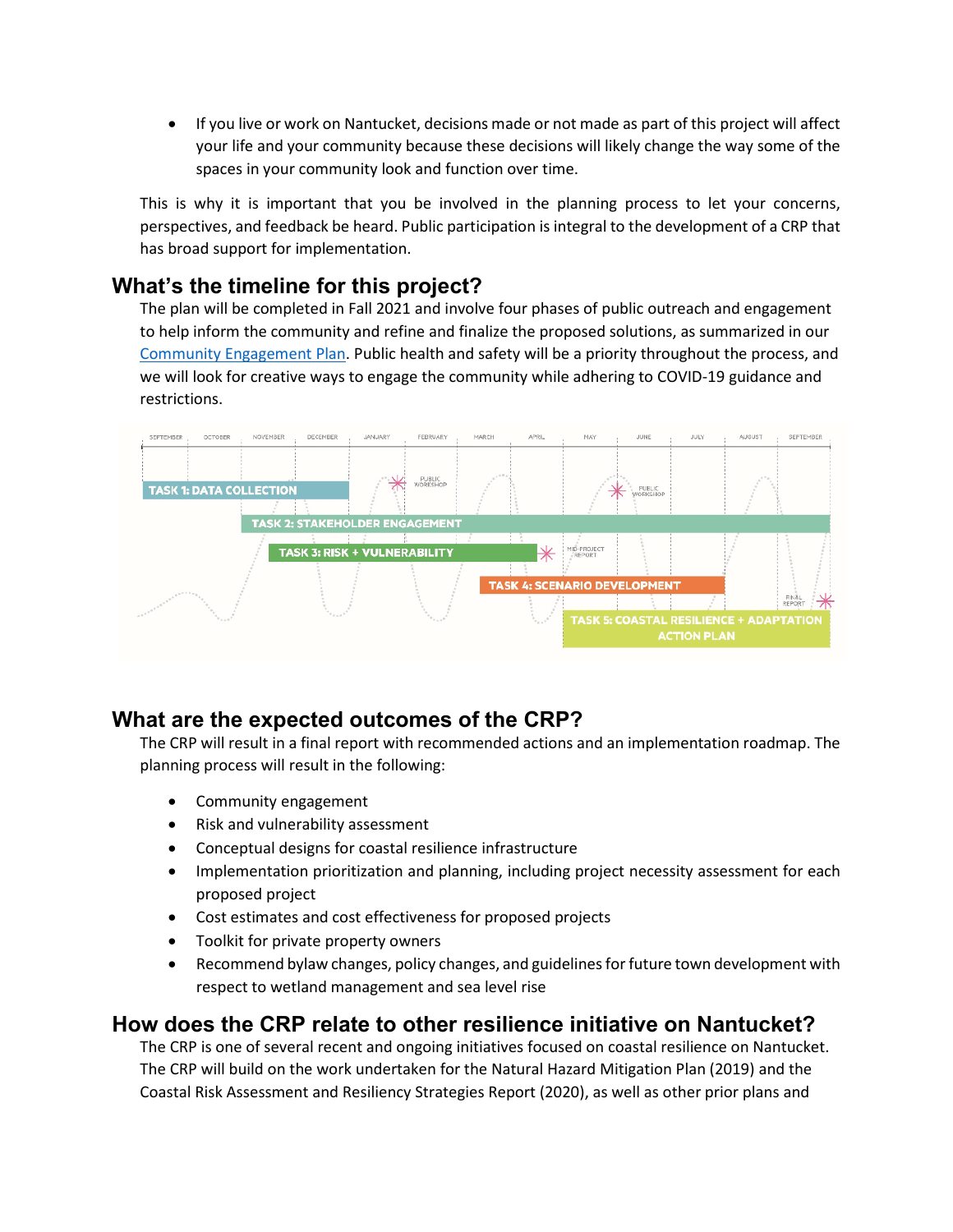• If you live or work on Nantucket, decisions made or not made as part of this project will affect your life and your community because these decisions will likely change the way some of the spaces in your community look and function over time.

This is why it is important that you be involved in the planning process to let your concerns, perspectives, and feedback be heard. Public participation is integral to the development of a CRP that has broad support for implementation.

## **What's the timeline for this project?**

The plan will be completed in Fall 2021 and involve four phases of public outreach and engagement to help inform the community and refine and finalize the proposed solutions, as summarized in our [Community Engagement Plan.](https://www.nantucket-ma.gov/DocumentCenter/View/38229/Stakeholder-Engagement-Plan-PDF) Public health and safety will be a priority throughout the process, and we will look for creative ways to engage the community while adhering to COVID-19 guidance and restrictions.



# **What are the expected outcomes of the CRP?**

The CRP will result in a final report with recommended actions and an implementation roadmap. The planning process will result in the following:

- Community engagement
- Risk and vulnerability assessment
- Conceptual designs for coastal resilience infrastructure
- Implementation prioritization and planning, including project necessity assessment for each proposed project
- Cost estimates and cost effectiveness for proposed projects
- Toolkit for private property owners
- Recommend bylaw changes, policy changes, and guidelines for future town development with respect to wetland management and sea level rise

#### **How does the CRP relate to other resilience initiative on Nantucket?**

The CRP is one of several recent and ongoing initiatives focused on coastal resilience on Nantucket. The CRP will build on the work undertaken for the Natural Hazard Mitigation Plan (2019) and the Coastal Risk Assessment and Resiliency Strategies Report (2020), as well as other prior plans and